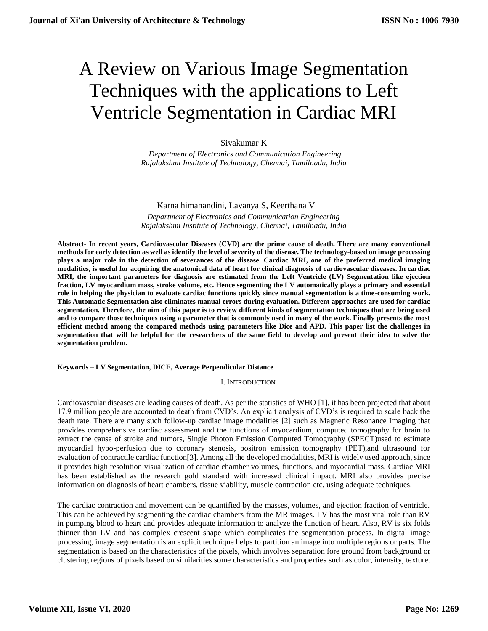# A Review on Various Image Segmentation Techniques with the applications to Left Ventricle Segmentation in Cardiac MRI

# Sivakumar K

 *Department of Electronics and Communication Engineering Rajalakshmi Institute of Technology, Chennai, Tamilnadu, India* 

# Karna himanandini, Lavanya S, Keerthana V  *Department of Electronics and Communication Engineering Rajalakshmi Institute of Technology, Chennai, Tamilnadu, India*

**Abstract- In recent years, Cardiovascular Diseases (CVD) are the prime cause of death. There are many conventional methods for early detection as well as identify the level of severity of the disease. The technology-based on image processing plays a major role in the detection of severances of the disease. Cardiac MRI, one of the preferred medical imaging modalities, is useful for acquiring the anatomical data of heart for clinical diagnosis of cardiovascular diseases. In cardiac MRI, the important parameters for diagnosis are estimated from the Left Ventricle (LV) Segmentation like ejection fraction, LV myocardium mass, stroke volume, etc. Hence segmenting the LV automatically plays a primary and essential role in helping the physician to evaluate cardiac functions quickly since manual segmentation is a time-consuming work. This Automatic Segmentation also eliminates manual errors during evaluation. Different approaches are used for cardiac segmentation. Therefore, the aim of this paper is to review different kinds of segmentation techniques that are being used and to compare those techniques using a parameter that is commonly used in many of the work. Finally presents the most efficient method among the compared methods using parameters like Dice and APD. This paper list the challenges in segmentation that will be helpful for the researchers of the same field to develop and present their idea to solve the segmentation problem.**

### **Keywords – LV Segmentation, DICE, Average Perpendicular Distance**

#### I. INTRODUCTION

Cardiovascular diseases are leading causes of death. As per the statistics of WHO [1], it has been projected that about 17.9 million people are accounted to death from CVD's. An explicit analysis of CVD's is required to scale back the death rate. There are many such follow-up cardiac image modalities [2] such as Magnetic Resonance Imaging that provides comprehensive cardiac assessment and the functions of myocardium, computed tomography for brain to extract the cause of stroke and tumors, Single Photon Emission Computed Tomography (SPECT)used to estimate myocardial hypo-perfusion due to coronary stenosis, positron emission tomography (PET),and ultrasound for evaluation of contractile cardiac function[3]. Among all the developed modalities, MRI is widely used approach, since it provides high resolution visualization of cardiac chamber volumes, functions, and myocardial mass. Cardiac MRI has been established as the research gold standard with increased clinical impact. MRI also provides precise information on diagnosis of heart chambers, tissue viability, muscle contraction etc. using adequate techniques.

The cardiac contraction and movement can be quantified by the masses, volumes, and ejection fraction of ventricle. This can be achieved by segmenting the cardiac chambers from the MR images. LV has the most vital role than RV in pumping blood to heart and provides adequate information to analyze the function of heart. Also, RV is six folds thinner than LV and has complex crescent shape which complicates the segmentation process. In digital image processing, image segmentation is an explicit technique helps to partition an image into multiple regions or parts. The segmentation is based on the characteristics of the pixels, which involves separation fore ground from background or clustering regions of pixels based on similarities some characteristics and properties such as color, intensity, texture.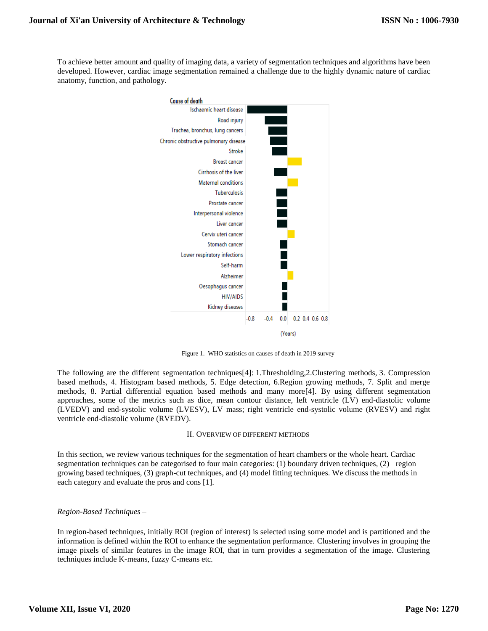To achieve better amount and quality of imaging data, a variety of segmentation techniques and algorithms have been developed. However, cardiac image segmentation remained a challenge due to the highly dynamic nature of cardiac anatomy, function, and pathology.



Figure 1. WHO statistics on causes of death in 2019 survey

The following are the different segmentation techniques[4]: 1.Thresholding,2.Clustering methods, 3. Compression based methods, 4. Histogram based methods, 5. Edge detection, 6.Region growing methods, 7. Split and merge methods, 8. Partial differential equation based methods and many more[4]. By using different segmentation approaches, some of the metrics such as dice, mean contour distance, left ventricle (LV) end-diastolic volume (LVEDV) and end-systolic volume (LVESV), LV mass; right ventricle end-systolic volume (RVESV) and right ventricle end-diastolic volume (RVEDV).

#### II. OVERVIEW OF DIFFERENT METHODS

In this section, we review various techniques for the segmentation of heart chambers or the whole heart. Cardiac segmentation techniques can be categorised to four main categories: (1) boundary driven techniques, (2) region growing based techniques, (3) graph-cut techniques, and (4) model fitting techniques. We discuss the methods in each category and evaluate the pros and cons [1].

### *Region-Based Techniques –*

In region-based techniques, initially ROI (region of interest) is selected using some model and is partitioned and the information is defined within the ROI to enhance the segmentation performance. Clustering involves in grouping the image pixels of similar features in the image ROI, that in turn provides a segmentation of the image. Clustering techniques include K-means, fuzzy C-means etc.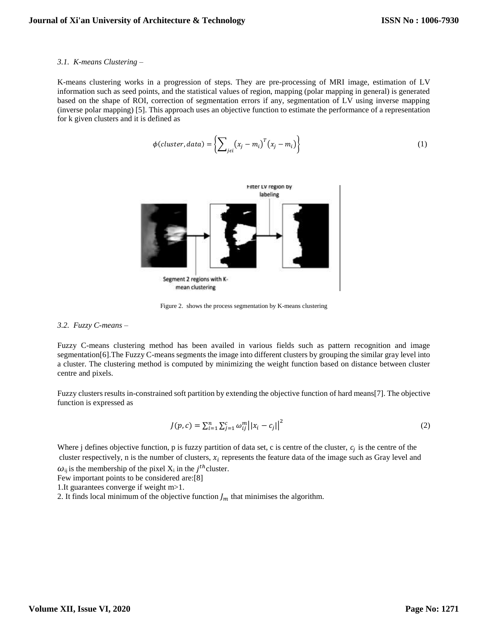#### *3.1. K-means Clustering –*

K-means clustering works in a progression of steps. They are pre-processing of MRI image, estimation of LV information such as seed points, and the statistical values of region, mapping (polar mapping in general) is generated based on the shape of ROI, correction of segmentation errors if any, segmentation of LV using inverse mapping (inverse polar mapping) [5]. This approach uses an objective function to estimate the performance of a representation for k given clusters and it is defined as

$$
\phi(cluster, data) = \left\{ \sum_{j \in i} (x_j - m_i)^T (x_j - m_i) \right\}
$$
\n(1)



Figure 2. shows the process segmentation by K-means clustering

#### *3.2. Fuzzy C-means –*

Fuzzy C-means clustering method has been availed in various fields such as pattern recognition and image segmentation[6].The Fuzzy C-means segments the image into different clusters by grouping the similar gray level into a cluster. The clustering method is computed by minimizing the weight function based on distance between cluster centre and pixels.

Fuzzy clusters results in-constrained soft partition by extending the objective function of hard means[7]. The objective function is expressed as

$$
J(p,c) = \sum_{i=1}^{n} \sum_{j=1}^{c} \omega_{ij}^{m} ||x_i - c_j||^2
$$
 (2)

Where j defines objective function, p is fuzzy partition of data set, c is centre of the cluster,  $c_j$  is the centre of the cluster respectively, n is the number of clusters,  $x_i$  represents the feature data of the image such as Gray level and

 $\omega_{ij}$  is the membership of the pixel  $X_i$  in the j<sup>th</sup> cluster.

Few important points to be considered are:[8]

1.It guarantees converge if weight m>1.

2. It finds local minimum of the objective function  $J_m$  that minimises the algorithm.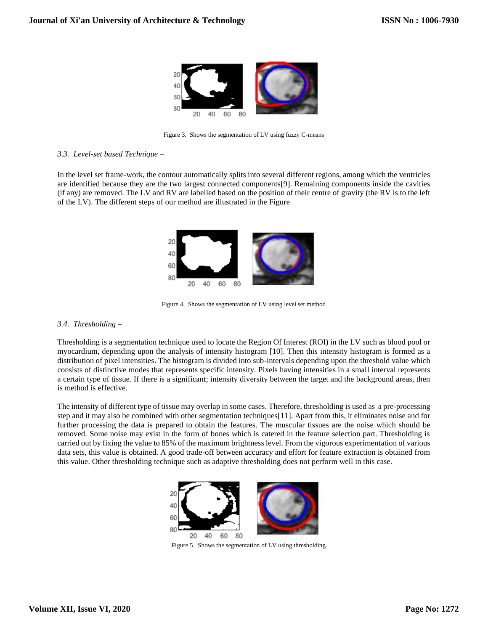

Figure 3. Shows the segmentation of LV using fuzzy C-means

## *3.3. Level-set based Technique –*

In the level set frame-work, the contour automatically splits into several different regions, among which the ventricles are identified because they are the two largest connected components[9]. Remaining components inside the cavities (if any) are removed. The LV and RV are labelled based on the position of their centre of gravity (the RV is to the left of the LV). The different steps of our method are illustrated in the Figure



Figure 4. Shows the segmentation of LV using level set method

# *3.4. Thresholding –*

Thresholding is a segmentation technique used to locate the Region Of Interest (ROI) in the LV such as blood pool or myocardium, depending upon the analysis of intensity histogram [10]. Then this intensity histogram is formed as a distribution of pixel intensities. The histogram is divided into sub-intervals depending upon the threshold value which consists of distinctive modes that represents specific intensity. Pixels having intensities in a small interval represents a certain type of tissue. If there is a significant; intensity diversity between the target and the background areas, then is method is effective.

The intensity of different type of tissue may overlap in some cases. Therefore, thresholding is used as a pre-processing step and it may also be combined with other segmentation techniques[11]. Apart from this, it eliminates noise and for further processing the data is prepared to obtain the features. The muscular tissues are the noise which should be removed. Some noise may exist in the form of bones which is catered in the feature selection part. Thresholding is carried out by fixing the value to 85% of the maximum brightness level. From the vigorous experimentation of various data sets, this value is obtained. A good trade-off between accuracy and effort for feature extraction is obtained from this value. Other thresholding technique such as adaptive thresholding does not perform well in this case.



Figure 5. Shows the segmentation of LV using thresholding.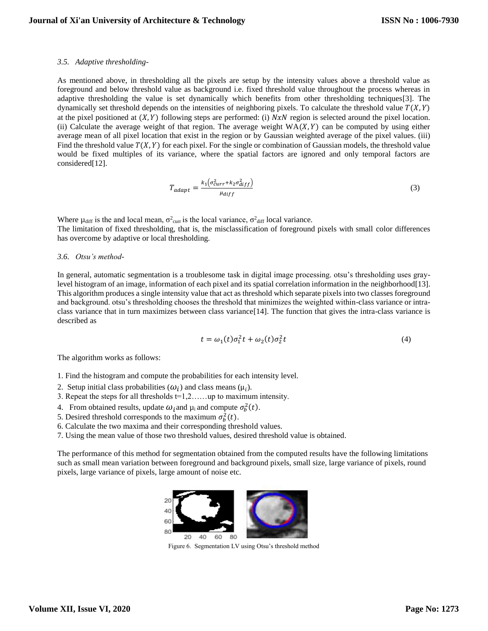#### *3.5. Adaptive thresholding-*

As mentioned above, in thresholding all the pixels are setup by the intensity values above a threshold value as foreground and below threshold value as background i.e. fixed threshold value throughout the process whereas in adaptive thresholding the value is set dynamically which benefits from other thresholding techniques[3]. The dynamically set threshold depends on the intensities of neighboring pixels. To calculate the threshold value  $T(X, Y)$ at the pixel positioned at  $(X, Y)$  following steps are performed: (i)  $N x N$  region is selected around the pixel location. (ii) Calculate the average weight of that region. The average weight  $WA(X, Y)$  can be computed by using either average mean of all pixel location that exist in the region or by Gaussian weighted average of the pixel values. (iii) Find the threshold value  $T(X, Y)$  for each pixel. For the single or combination of Gaussian models, the threshold value would be fixed multiples of its variance, where the spatial factors are ignored and only temporal factors are considered[12].

$$
T_{adapt} = \frac{k_1(\sigma_{curr}^2 + k_2\sigma_{diff}^2)}{\mu_{diff}}
$$
 (3)

Where  $\mu_{\text{diff}}$  is the and local mean,  $\sigma_{\text{curr}}^2$  is the local variance,  $\sigma_{\text{diff}}^2$  local variance. The limitation of fixed thresholding, that is, the misclassification of foreground pixels with small color differences has overcome by adaptive or local thresholding.

#### *3.6. Otsu's method-*

In general, automatic segmentation is a troublesome task in digital image processing. otsu's thresholding uses graylevel histogram of an image, information of each pixel and its spatial correlation information in the neighborhood[13]. This algorithm produces a single intensity value that act as threshold which separate pixels into two classes foreground and background. otsu's thresholding chooses the threshold that minimizes the weighted within-class variance or intraclass variance that in turn maximizes between class variance[14]. The function that gives the intra-class variance is described as

$$
t = \omega_1(t)\sigma_1^2 t + \omega_2(t)\sigma_2^2 t \tag{4}
$$

The algorithm works as follows:

1. Find the histogram and compute the probabilities for each intensity level.

- 2. Setup initial class probabilities  $(\omega_i)$  and class means  $(\mu_i)$ .
- 3. Repeat the steps for all thresholds  $t=1,2,\ldots$  up to maximum intensity.
- 4. From obtained results, update  $\omega_i$  and  $\mu_i$  and compute  $\sigma_b^2(t)$ .
- 5. Desired threshold corresponds to the maximum  $\sigma_b^2(t)$ .
- 6. Calculate the two maxima and their corresponding threshold values.
- 7. Using the mean value of those two threshold values, desired threshold value is obtained.

The performance of this method for segmentation obtained from the computed results have the following limitations such as small mean variation between foreground and background pixels, small size, large variance of pixels, round pixels, large variance of pixels, large amount of noise etc.



Figure 6. Segmentation LV using Otsu's threshold method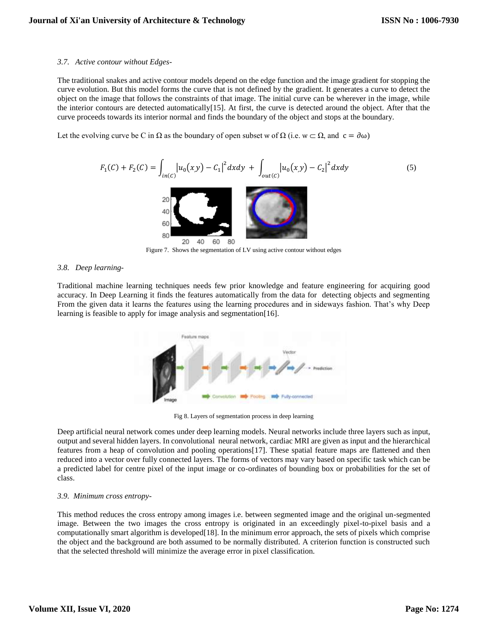## *3.7. Active contour without Edges-*

The traditional snakes and active contour models depend on the edge function and the image gradient for stopping the curve evolution. But this model forms the curve that is not defined by the gradient. It generates a curve to detect the object on the image that follows the constraints of that image. The initial curve can be wherever in the image, while the interior contours are detected automatically[15]. At first, the curve is detected around the object. After that the curve proceeds towards its interior normal and finds the boundary of the object and stops at the boundary.

Let the evolving curve be C in  $\Omega$  as the boundary of open subset w of  $\Omega$  (i.e.  $w \subset \Omega$ , and  $c = \partial \omega$ )

2 2 ()+ <sup>2</sup> () = ∫ |0(,) − <sup>1</sup> (5) 1 | + ∫ |0(,) − <sup>2</sup> | () () 

Figure 7. Shows the segmentation of LV using active contour without edges

# *3.8. Deep learning-*

Traditional machine learning techniques needs few prior knowledge and feature engineering for acquiring good accuracy. In Deep Learning it finds the features automatically from the data for detecting objects and segmenting From the given data it learns the features using the learning procedures and in sideways fashion. That's why Deep learning is feasible to apply for image analysis and segmentation[16].



Fig 8. Layers of segmentation process in deep learning

Deep artificial neural network comes under deep learning models. Neural networks include three layers such as input, output and several hidden layers. In convolutional neural network, cardiac MRI are given as input and the hierarchical features from a heap of convolution and pooling operations[17]. These spatial feature maps are flattened and then reduced into a vector over fully connected layers. The forms of vectors may vary based on specific task which can be a predicted label for centre pixel of the input image or co-ordinates of bounding box or probabilities for the set of class.

# *3.9. Minimum cross entropy-*

This method reduces the cross entropy among images i.e. between segmented image and the original un-segmented image. Between the two images the cross entropy is originated in an exceedingly pixel-to-pixel basis and a computationally smart algorithm is developed[18]. In the minimum error approach, the sets of pixels which comprise the object and the background are both assumed to be normally distributed. A criterion function is constructed such that the selected threshold will minimize the average error in pixel classification.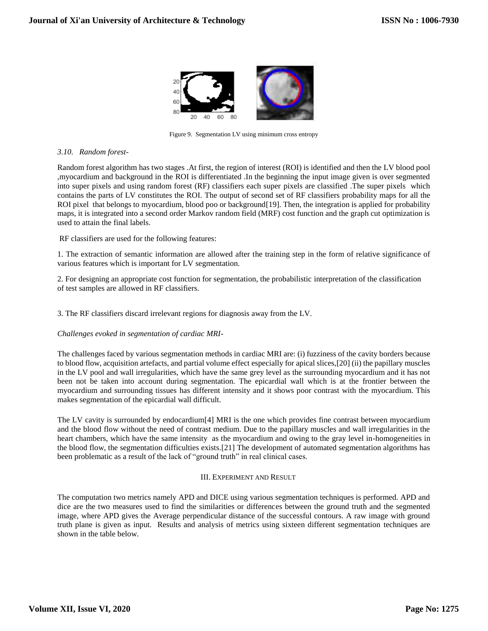

Figure 9. Segmentation LV using minimum cross entropy

## *3.10. Random forest-*

Random forest algorithm has two stages .At first, the region of interest (ROI) is identified and then the LV blood pool ,myocardium and background in the ROI is differentiated .In the beginning the input image given is over segmented into super pixels and using random forest (RF) classifiers each super pixels are classified .The super pixels which contains the parts of LV constitutes the ROI. The output of second set of RF classifiers probability maps for all the ROI pixel that belongs to myocardium, blood poo or background[19]. Then, the integration is applied for probability maps, it is integrated into a second order Markov random field (MRF) cost function and the graph cut optimization is used to attain the final labels.

RF classifiers are used for the following features:

1. The extraction of semantic information are allowed after the training step in the form of relative significance of various features which is important for LV segmentation.

2. For designing an appropriate cost function for segmentation, the probabilistic interpretation of the classification of test samples are allowed in RF classifiers.

3. The RF classifiers discard irrelevant regions for diagnosis away from the LV.

### *Challenges evoked in segmentation of cardiac MRI-*

The challenges faced by various segmentation methods in cardiac MRI are: (i) fuzziness of the cavity borders because to blood flow, acquisition artefacts, and partial volume effect especially for apical slices,[20] (ii) the papillary muscles in the LV pool and wall irregularities, which have the same grey level as the surrounding myocardium and it has not been not be taken into account during segmentation. The epicardial wall which is at the frontier between the myocardium and surrounding tissues has different intensity and it shows poor contrast with the myocardium. This makes segmentation of the epicardial wall difficult.

The LV cavity is surrounded by endocardium[4] MRI is the one which provides fine contrast between myocardium and the blood flow without the need of contrast medium. Due to the papillary muscles and wall irregularities in the heart chambers, which have the same intensity as the myocardium and owing to the gray level in-homogeneities in the blood flow, the segmentation difficulties exists.[21] The development of automated segmentation algorithms has been problematic as a result of the lack of "ground truth" in real clinical cases.

### III. EXPERIMENT AND RESULT

The computation two metrics namely APD and DICE using various segmentation techniques is performed. APD and dice are the two measures used to find the similarities or differences between the ground truth and the segmented image, where APD gives the Average perpendicular distance of the successful contours. A raw image with ground truth plane is given as input. Results and analysis of metrics using sixteen different segmentation techniques are shown in the table below.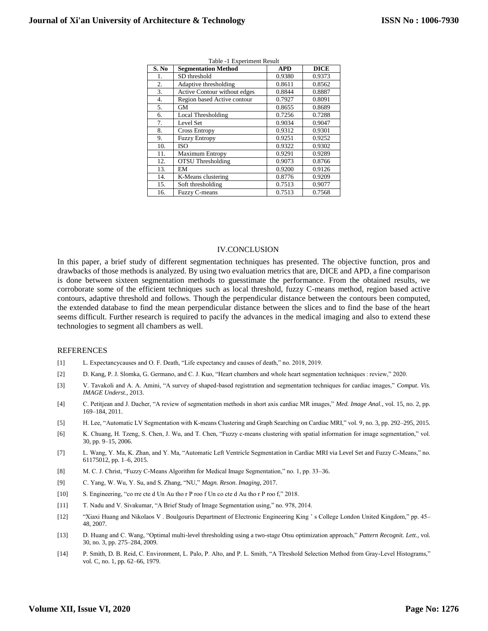| S. No | <b>Segmentation Method</b>   | <b>APD</b> | <b>DICE</b> |
|-------|------------------------------|------------|-------------|
| 1.    | SD threshold                 | 0.9380     | 0.9373      |
| 2.    | Adaptive thresholding        | 0.8611     | 0.8562      |
| 3.    | Active Contour without edges | 0.8844     | 0.8887      |
| 4.    | Region based Active contour  | 0.7927     | 0.8091      |
| 5.    | GM                           | 0.8655     | 0.8689      |
| 6.    | Local Thresholding           | 0.7256     | 0.7288      |
| 7.    | Level Set                    | 0.9034     | 0.9047      |
| 8.    | <b>Cross Entropy</b>         | 0.9312     | 0.9301      |
| 9.    | <b>Fuzzy Entropy</b>         | 0.9251     | 0.9252      |
| 10.   | <b>ISO</b>                   | 0.9322     | 0.9302      |
| 11.   | <b>Maximum Entropy</b>       | 0.9291     | 0.9289      |
| 12.   | <b>OTSU</b> Thresholding     | 0.9073     | 0.8766      |
| 13.   | EM                           | 0.9200     | 0.9126      |
| 14.   | K-Means clustering           | 0.8776     | 0.9209      |
| 15.   | Soft thresholding            | 0.7513     | 0.9077      |
| 16.   | Fuzzy C-means                | 0.7513     | 0.7568      |

| Table -1 Experiment Result |  |
|----------------------------|--|
|----------------------------|--|

#### IV.CONCLUSION

In this paper, a brief study of different segmentation techniques has presented. The objective function, pros and drawbacks of those methods is analyzed. By using two evaluation metrics that are, DICE and APD, a fine comparison is done between sixteen segmentation methods to guesstimate the performance. From the obtained results, we corroborate some of the efficient techniques such as local threshold, fuzzy C-means method, region based active contours, adaptive threshold and follows. Though the perpendicular distance between the contours been computed, the extended database to find the mean perpendicular distance between the slices and to find the base of the heart seems difficult. Further research is required to pacify the advances in the medical imaging and also to extend these technologies to segment all chambers as well.

#### REFERENCES

- [1] L. Expectancycauses and O. F. Death, "Life expectancy and causes of death," no. 2018, 2019.
- [2] D. Kang, P. J. Slomka, G. Germano, and C. J. Kuo, "Heart chambers and whole heart segmentation techniques : review," 2020.
- [3] V. Tavakoli and A. A. Amini, "A survey of shaped-based registration and segmentation techniques for cardiac images," *Comput. Vis. IMAGE Underst.*, 2013.
- [4] C. Petitjean and J. Dacher, "A review of segmentation methods in short axis cardiac MR images," *Med. Image Anal.*, vol. 15, no. 2, pp. 169–184, 2011.
- [5] H. Lee, "Automatic LV Segmentation with K-means Clustering and Graph Searching on Cardiac MRI," vol. 9, no. 3, pp. 292–295, 2015.
- [6] K. Chuang, H. Tzeng, S. Chen, J. Wu, and T. Chen, "Fuzzy c-means clustering with spatial information for image segmentation," vol. 30, pp. 9–15, 2006.
- [7] L. Wang, Y. Ma, K. Zhan, and Y. Ma, "Automatic Left Ventricle Segmentation in Cardiac MRI via Level Set and Fuzzy C-Means," no. 61175012, pp. 1–6, 2015.
- [8] M. C. J. Christ, "Fuzzy C-Means Algorithm for Medical Image Segmentation," no. 1, pp. 33–36.
- [9] C. Yang, W. Wu, Y. Su, and S. Zhang, "NU," *Magn. Reson. Imaging*, 2017.
- [10] S. Engineering, "co rre cte d Un Au tho r P roo f Un co cte d Au tho r P roo f," 2018.
- [11] T. Nadu and V. Sivakumar, "A Brief Study of Image Segmentation using," no. 978, 2014.
- [12] "Xiaxi Huang and Nikolaos V . Boulgouris Department of Electronic Engineering King ' s College London United Kingdom," pp. 45– 48, 2007.
- [13] D. Huang and C. Wang, "Optimal multi-level thresholding using a two-stage Otsu optimization approach," *Pattern Recognit. Lett.*, vol. 30, no. 3, pp. 275–284, 2009.
- [14] P. Smith, D. B. Reid, C. Environment, L. Palo, P. Alto, and P. L. Smith, "A Tlreshold Selection Method from Gray-Level Histograms," vol. C, no. 1, pp. 62–66, 1979.